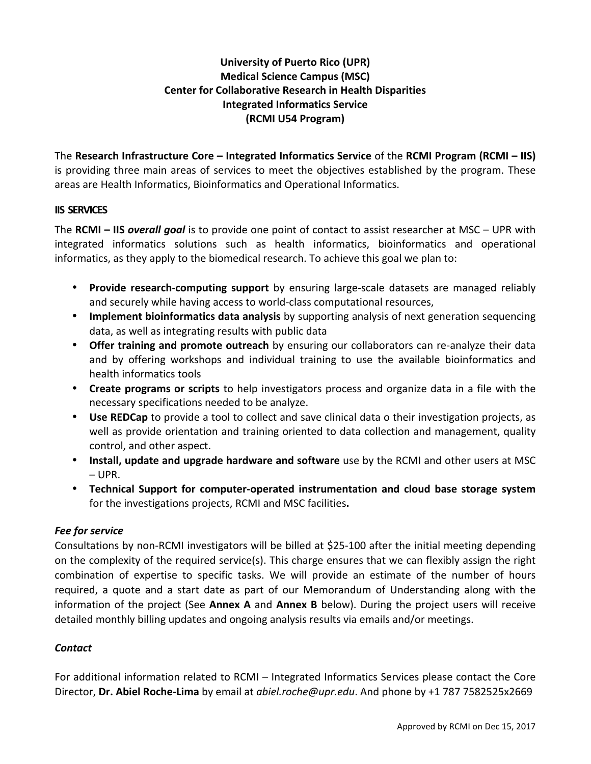# **University of Puerto Rico (UPR) Medical Science Campus (MSC) Center for Collaborative Research in Health Disparities Integrated Informatics Service (RCMI U54 Program)**

The Research Infrastructure Core – Integrated Informatics Service of the RCMI Program (RCMI – IIS) is providing three main areas of services to meet the objectives established by the program. These areas are Health Informatics, Bioinformatics and Operational Informatics.

## **IIS SERVICES**

**The RCMI – IIS overall goal** is to provide one point of contact to assist researcher at MSC – UPR with integrated informatics solutions such as health informatics, bioinformatics and operational informatics, as they apply to the biomedical research. To achieve this goal we plan to:

- **Provide research-computing support** by ensuring large-scale datasets are managed reliably and securely while having access to world-class computational resources,
- Implement bioinformatics data analysis by supporting analysis of next generation sequencing data, as well as integrating results with public data
- Offer training and promote outreach by ensuring our collaborators can re-analyze their data and by offering workshops and individual training to use the available bioinformatics and health informatics tools
- **Create programs or scripts** to help investigators process and organize data in a file with the necessary specifications needed to be analyze.
- **Use REDCap** to provide a tool to collect and save clinical data o their investigation projects, as well as provide orientation and training oriented to data collection and management, quality control, and other aspect.
- Install, update and upgrade hardware and software use by the RCMI and other users at MSC – UPR.
- **Technical Support for computer-operated instrumentation and cloud base storage system** for the investigations projects, RCMI and MSC facilities.

# **Fee** for service

Consultations by non-RCMI investigators will be billed at \$25-100 after the initial meeting depending on the complexity of the required service(s). This charge ensures that we can flexibly assign the right combination of expertise to specific tasks. We will provide an estimate of the number of hours required, a quote and a start date as part of our Memorandum of Understanding along with the information of the project (See Annex A and Annex B below). During the project users will receive detailed monthly billing updates and ongoing analysis results via emails and/or meetings.

# *Contact*

For additional information related to RCMI – Integrated Informatics Services please contact the Core Director, **Dr. Abiel Roche-Lima** by email at *abiel.roche@upr.edu*. And phone by +1 787 7582525x2669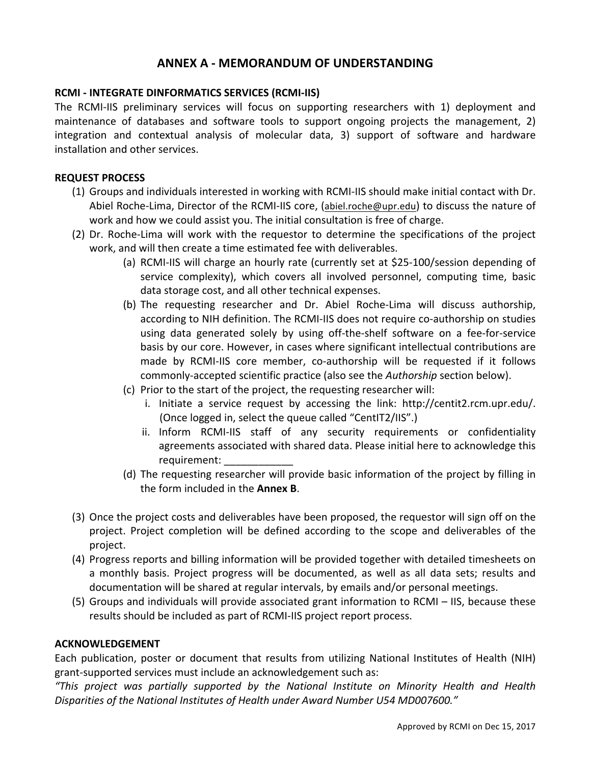# **ANNEX A - MEMORANDUM OF UNDERSTANDING**

## **RCMI - INTEGRATE DINFORMATICS SERVICES (RCMI-IIS)**

The RCMI-IIS preliminary services will focus on supporting researchers with 1) deployment and maintenance of databases and software tools to support ongoing projects the management, 2) integration and contextual analysis of molecular data, 3) support of software and hardware installation and other services.

#### **REQUEST PROCESS**

- (1) Groups and individuals interested in working with RCMI-IIS should make initial contact with Dr. Abiel Roche-Lima, Director of the RCMI-IIS core, (abiel.roche@upr.edu) to discuss the nature of work and how we could assist you. The initial consultation is free of charge.
- (2) Dr. Roche-Lima will work with the requestor to determine the specifications of the project work, and will then create a time estimated fee with deliverables.
	- (a) RCMI-IIS will charge an hourly rate (currently set at \$25-100/session depending of service complexity), which covers all involved personnel, computing time, basic data storage cost, and all other technical expenses.
	- (b) The requesting researcher and Dr. Abiel Roche-Lima will discuss authorship, according to NIH definition. The RCMI-IIS does not require co-authorship on studies using data generated solely by using off-the-shelf software on a fee-for-service basis by our core. However, in cases where significant intellectual contributions are made by RCMI-IIS core member, co-authorship will be requested if it follows commonly-accepted scientific practice (also see the *Authorship* section below).
	- (c) Prior to the start of the project, the requesting researcher will:
		- i. Initiate a service request by accessing the link: http://centit2.rcm.upr.edu/. (Once logged in, select the queue called "CentIT2/IIS".)
		- ii. Inform RCMI-IIS staff of any security requirements or confidentiality agreements associated with shared data. Please initial here to acknowledge this requirement:
	- (d) The requesting researcher will provide basic information of the project by filling in the form included in the **Annex B.**
- (3) Once the project costs and deliverables have been proposed, the requestor will sign off on the project. Project completion will be defined according to the scope and deliverables of the project.
- (4) Progress reports and billing information will be provided together with detailed timesheets on a monthly basis. Project progress will be documented, as well as all data sets; results and documentation will be shared at regular intervals, by emails and/or personal meetings.
- (5) Groups and individuals will provide associated grant information to RCMI IIS, because these results should be included as part of RCMI-IIS project report process.

## **ACKNOWLEDGEMENT**

Each publication, poster or document that results from utilizing National Institutes of Health (NIH) grant-supported services must include an acknowledgement such as:

*"This project was partially supported by the National Institute on Minority Health and Health Disparities of the National Institutes of Health under Award Number U54 MD007600."*